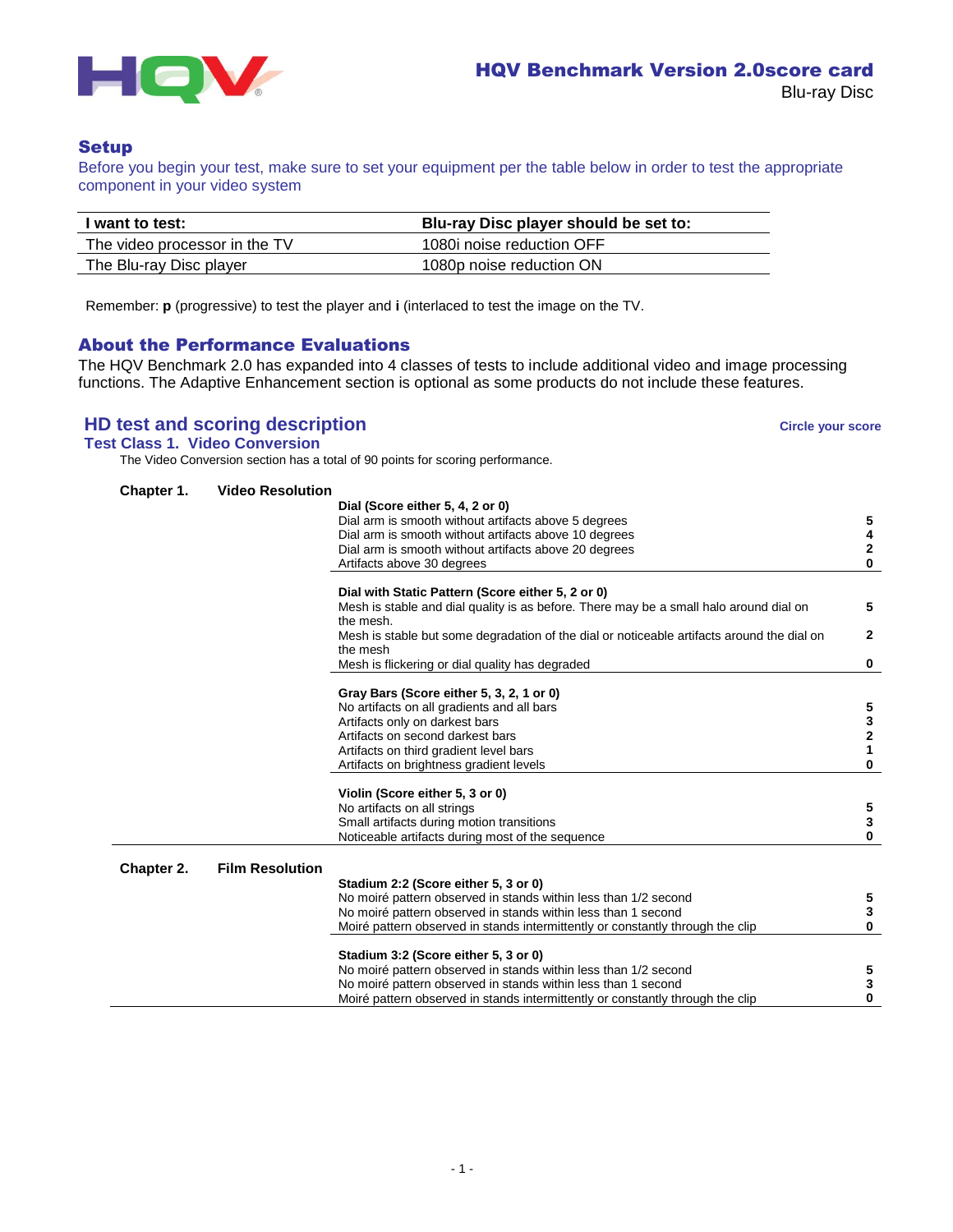

# **Setup**

Before you begin your test, make sure to set your equipment per the table below in order to test the appropriate component in your video system

| I want to test:               | Blu-ray Disc player should be set to: |
|-------------------------------|---------------------------------------|
| The video processor in the TV | 1080i noise reduction OFF             |
| The Blu-ray Disc player       | 1080p noise reduction ON              |

Remember: **p** (progressive) to test the player and **i** (interlaced to test the image on the TV.

# About the Performance Evaluations

The HQV Benchmark 2.0 has expanded into 4 classes of tests to include additional video and image processing functions. The Adaptive Enhancement section is optional as some products do not include these features.

# **HD test and scoring description Circle your score Circle your score**

**Test Class 1. Video Conversion**

The Video Conversion section has a total of 90 points for scoring performance.

| Chapter 1. | <b>Video Resolution</b> |                                                                                                         |              |
|------------|-------------------------|---------------------------------------------------------------------------------------------------------|--------------|
|            |                         | Dial (Score either 5, 4, 2 or 0)                                                                        |              |
|            |                         | Dial arm is smooth without artifacts above 5 degrees                                                    | 5            |
|            |                         | Dial arm is smooth without artifacts above 10 degrees                                                   | 4            |
|            |                         | Dial arm is smooth without artifacts above 20 degrees                                                   | 2            |
|            |                         | Artifacts above 30 degrees                                                                              | 0            |
|            |                         | Dial with Static Pattern (Score either 5, 2 or 0)                                                       |              |
|            |                         | Mesh is stable and dial quality is as before. There may be a small halo around dial on                  | 5            |
|            |                         | the mesh.<br>Mesh is stable but some degradation of the dial or noticeable artifacts around the dial on | $\mathbf{2}$ |
|            |                         | the mesh                                                                                                |              |
|            |                         | Mesh is flickering or dial quality has degraded                                                         | 0            |
|            |                         | Gray Bars (Score either 5, 3, 2, 1 or 0)                                                                |              |
|            |                         | No artifacts on all gradients and all bars                                                              | 5            |
|            |                         | Artifacts only on darkest bars                                                                          | 3            |
|            |                         | Artifacts on second darkest bars                                                                        | 2            |
|            |                         | Artifacts on third gradient level bars                                                                  | 1            |
|            |                         | Artifacts on brightness gradient levels                                                                 | 0            |
|            |                         | Violin (Score either 5, 3 or 0)                                                                         |              |
|            |                         | No artifacts on all strings                                                                             | 5            |
|            |                         | Small artifacts during motion transitions                                                               | 3            |
|            |                         | Noticeable artifacts during most of the sequence                                                        | 0            |
| Chapter 2. | <b>Film Resolution</b>  |                                                                                                         |              |
|            |                         | Stadium 2:2 (Score either 5, 3 or 0)                                                                    |              |
|            |                         | No moiré pattern observed in stands within less than 1/2 second                                         | 5            |
|            |                         | No moiré pattern observed in stands within less than 1 second                                           | 3            |
|            |                         | Moiré pattern observed in stands intermittently or constantly through the clip                          | 0            |
|            |                         | Stadium 3:2 (Score either 5, 3 or 0)                                                                    |              |
|            |                         | No moiré pattern observed in stands within less than 1/2 second                                         | 5            |
|            |                         | No moiré pattern observed in stands within less than 1 second                                           | 3            |
|            |                         | Moiré pattern observed in stands intermittently or constantly through the clip                          | 0            |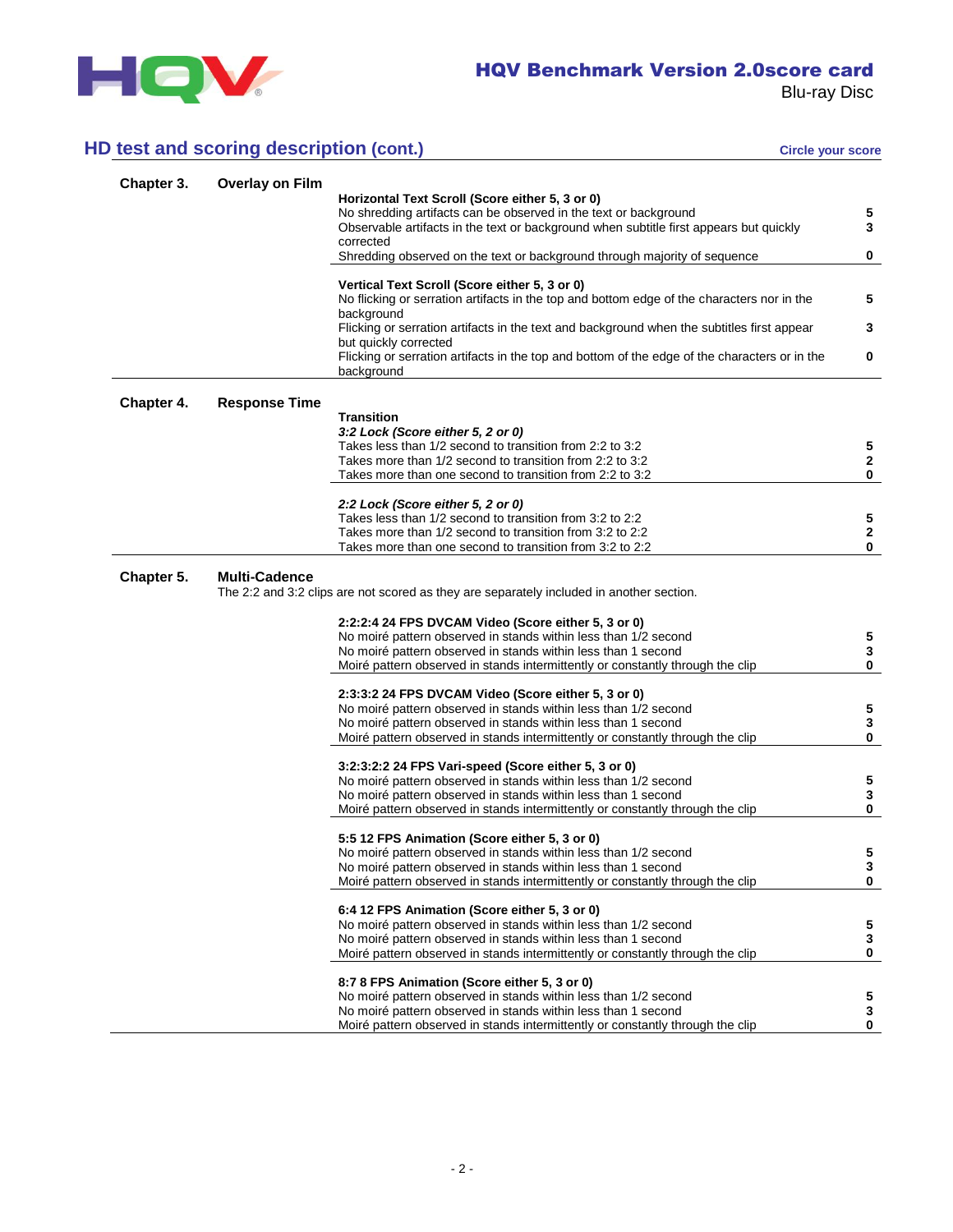

# **HD test and scoring description (cont.) Circle your score** circle your score

| Chapter 3. | <b>Overlay on Film</b> |                                                                                                                                                 |                   |
|------------|------------------------|-------------------------------------------------------------------------------------------------------------------------------------------------|-------------------|
|            |                        | Horizontal Text Scroll (Score either 5, 3 or 0)                                                                                                 |                   |
|            |                        | No shredding artifacts can be observed in the text or background                                                                                | 5                 |
|            |                        | Observable artifacts in the text or background when subtitle first appears but quickly                                                          | $\mathbf{3}$      |
|            |                        | corrected<br>Shredding observed on the text or background through majority of sequence                                                          | 0                 |
|            |                        |                                                                                                                                                 |                   |
|            |                        | Vertical Text Scroll (Score either 5, 3 or 0)<br>No flicking or serration artifacts in the top and bottom edge of the characters nor in the     | 5                 |
|            |                        | background                                                                                                                                      |                   |
|            |                        | Flicking or serration artifacts in the text and background when the subtitles first appear<br>but quickly corrected                             | 3                 |
|            |                        | Flicking or serration artifacts in the top and bottom of the edge of the characters or in the<br>background                                     | 0                 |
| Chapter 4. | <b>Response Time</b>   |                                                                                                                                                 |                   |
|            |                        | <b>Transition</b>                                                                                                                               |                   |
|            |                        | 3:2 Lock (Score either 5, 2 or 0)                                                                                                               |                   |
|            |                        | Takes less than 1/2 second to transition from 2:2 to 3:2                                                                                        | 5                 |
|            |                        | Takes more than 1/2 second to transition from 2:2 to 3:2<br>Takes more than one second to transition from 2:2 to 3:2                            | $\mathbf{2}$<br>0 |
|            |                        |                                                                                                                                                 |                   |
|            |                        | 2:2 Lock (Score either 5, 2 or 0)                                                                                                               |                   |
|            |                        | Takes less than 1/2 second to transition from 3:2 to 2:2                                                                                        | 5                 |
|            |                        | Takes more than 1/2 second to transition from 3:2 to 2:2                                                                                        | $\mathbf{2}$      |
|            |                        | Takes more than one second to transition from 3:2 to 2:2                                                                                        | 0                 |
|            |                        |                                                                                                                                                 |                   |
| Chapter 5. | <b>Multi-Cadence</b>   | The 2:2 and 3:2 clips are not scored as they are separately included in another section.                                                        |                   |
|            |                        |                                                                                                                                                 |                   |
|            |                        | 2:2:2:4 24 FPS DVCAM Video (Score either 5, 3 or 0)                                                                                             | 5                 |
|            |                        | No moiré pattern observed in stands within less than 1/2 second<br>No moiré pattern observed in stands within less than 1 second                | $\mathbf{3}$      |
|            |                        | Moiré pattern observed in stands intermittently or constantly through the clip                                                                  | 0                 |
|            |                        |                                                                                                                                                 |                   |
|            |                        | 2:3:3:2 24 FPS DVCAM Video (Score either 5, 3 or 0)                                                                                             |                   |
|            |                        | No moiré pattern observed in stands within less than 1/2 second<br>No moiré pattern observed in stands within less than 1 second                | 5<br>3            |
|            |                        | Moiré pattern observed in stands intermittently or constantly through the clip                                                                  | $\mathbf 0$       |
|            |                        |                                                                                                                                                 |                   |
|            |                        | 3:2:3:2:2 24 FPS Vari-speed (Score either 5, 3 or 0)                                                                                            |                   |
|            |                        | No moiré pattern observed in stands within less than 1/2 second<br>No moiré pattern observed in stands within less than 1 second                | 5<br>$\mathbf{3}$ |
|            |                        | Moiré pattern observed in stands intermittently or constantly through the clip                                                                  | 0                 |
|            |                        |                                                                                                                                                 |                   |
|            |                        | 5:5 12 FPS Animation (Score either 5, 3 or 0)                                                                                                   |                   |
|            |                        | No moiré pattern observed in stands within less than 1/2 second                                                                                 | 5                 |
|            |                        | No moiré pattern observed in stands within less than 1 second<br>Moiré pattern observed in stands intermittently or constantly through the clip | 3<br>0            |
|            |                        |                                                                                                                                                 |                   |
|            |                        | 6:4 12 FPS Animation (Score either 5, 3 or 0)                                                                                                   |                   |
|            |                        | No moiré pattern observed in stands within less than 1/2 second                                                                                 | 5<br>3            |
|            |                        | No moiré pattern observed in stands within less than 1 second<br>Moiré pattern observed in stands intermittently or constantly through the clip | 0                 |
|            |                        |                                                                                                                                                 |                   |
|            |                        | 8:7 8 FPS Animation (Score either 5, 3 or 0)                                                                                                    |                   |
|            |                        | No moiré pattern observed in stands within less than 1/2 second<br>No moiré pattern observed in stands within less than 1 second                | 5<br>3            |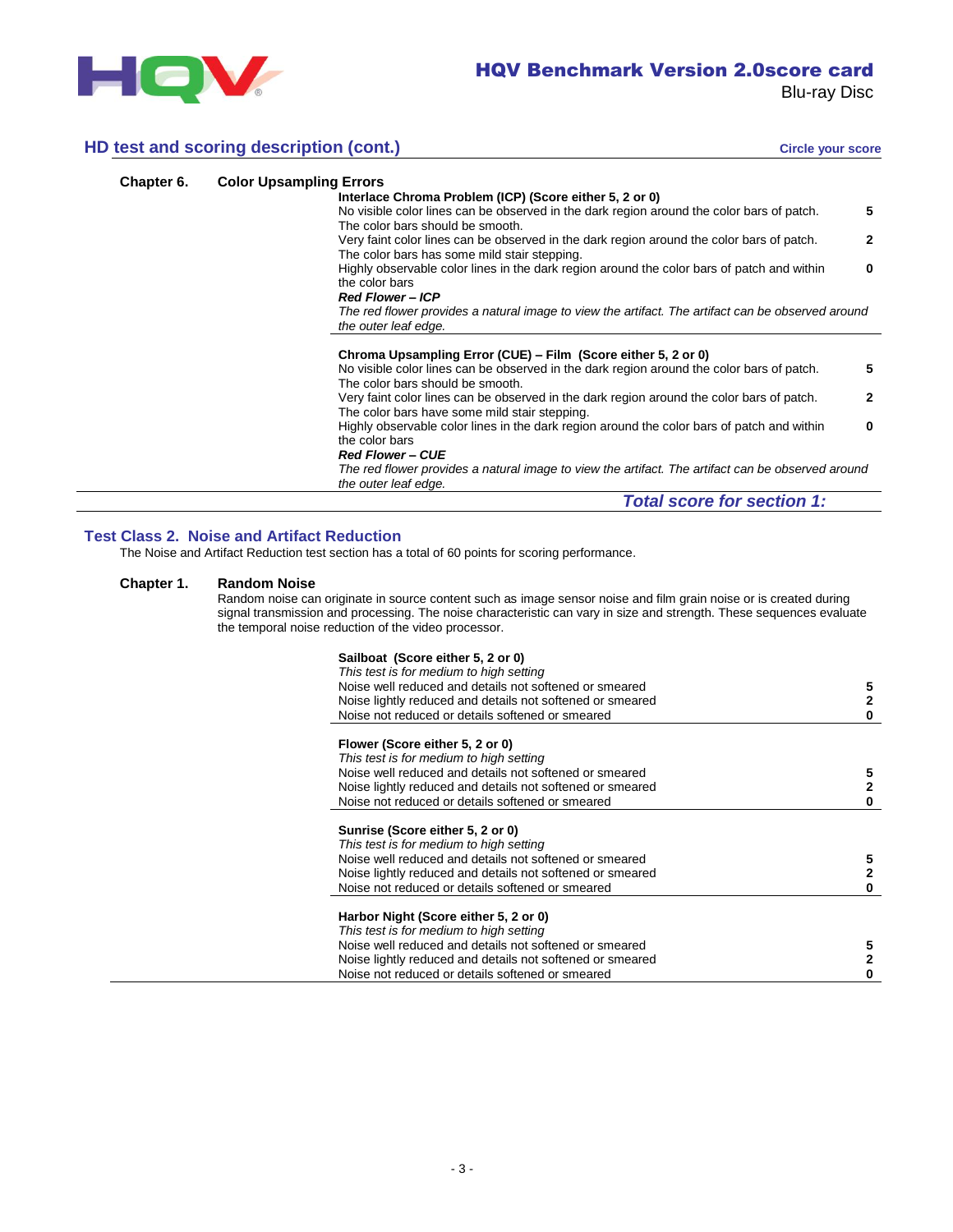

# **HD test and scoring description (cont.)**

|  |  | Circle your score |  |
|--|--|-------------------|--|
|  |  |                   |  |

| Chapter 6. | <b>Color Upsampling Errors</b>                                                                            |
|------------|-----------------------------------------------------------------------------------------------------------|
|            | Interlace Chroma Problem (ICP) (Score either 5, 2 or 0)                                                   |
|            | No visible color lines can be observed in the dark region around the color bars of patch.<br>5            |
|            | The color bars should be smooth.                                                                          |
|            | Very faint color lines can be observed in the dark region around the color bars of patch.<br>$\mathbf{2}$ |
|            | The color bars has some mild stair stepping.                                                              |
|            | Highly observable color lines in the dark region around the color bars of patch and within<br>0           |
|            | the color bars                                                                                            |
|            | <b>Red Flower-ICP</b>                                                                                     |
|            | The red flower provides a natural image to view the artifact. The artifact can be observed around         |
|            | the outer leaf edge.                                                                                      |
|            |                                                                                                           |
|            | Chroma Upsampling Error (CUE) – Film (Score either 5, 2 or 0)                                             |
|            | No visible color lines can be observed in the dark region around the color bars of patch.<br>5            |
|            | The color bars should be smooth.                                                                          |
|            | Very faint color lines can be observed in the dark region around the color bars of patch.<br>$\mathbf{2}$ |
|            | The color bars have some mild stair stepping.                                                             |
|            | Highly observable color lines in the dark region around the color bars of patch and within<br>0           |
|            | the color bars                                                                                            |
|            | <b>Red Flower - CUE</b>                                                                                   |
|            | The red flower provides a natural image to view the artifact. The artifact can be observed around         |
|            | the outer leaf edge.                                                                                      |
|            |                                                                                                           |

# *Total score for section 1:*

## **Test Class 2. Noise and Artifact Reduction**

The Noise and Artifact Reduction test section has a total of 60 points for scoring performance.

# **Chapter 1. Random Noise**

Random noise can originate in source content such as image sensor noise and film grain noise or is created during signal transmission and processing. The noise characteristic can vary in size and strength. These sequences evaluate the temporal noise reduction of the video processor.

| Noise well reduced and details not softened or smeared    |  |
|-----------------------------------------------------------|--|
| Noise lightly reduced and details not softened or smeared |  |
| Noise not reduced or details softened or smeared          |  |
| Flower (Score either 5, 2 or 0)                           |  |
| This test is for medium to high setting                   |  |
| Noise well reduced and details not softened or smeared    |  |
| Noise lightly reduced and details not softened or smeared |  |
| Noise not reduced or details softened or smeared          |  |
| Sunrise (Score either 5, 2 or 0)                          |  |
| This test is for medium to high setting                   |  |
| Noise well reduced and details not softened or smeared    |  |
| Noise lightly reduced and details not softened or smeared |  |
| Noise not reduced or details softened or smeared          |  |
| Harbor Night (Score either 5, 2 or 0)                     |  |
| This test is for medium to high setting                   |  |
| Noise well reduced and details not softened or smeared    |  |
| Noise lightly reduced and details not softened or smeared |  |
| Noise not reduced or details softened or smeared          |  |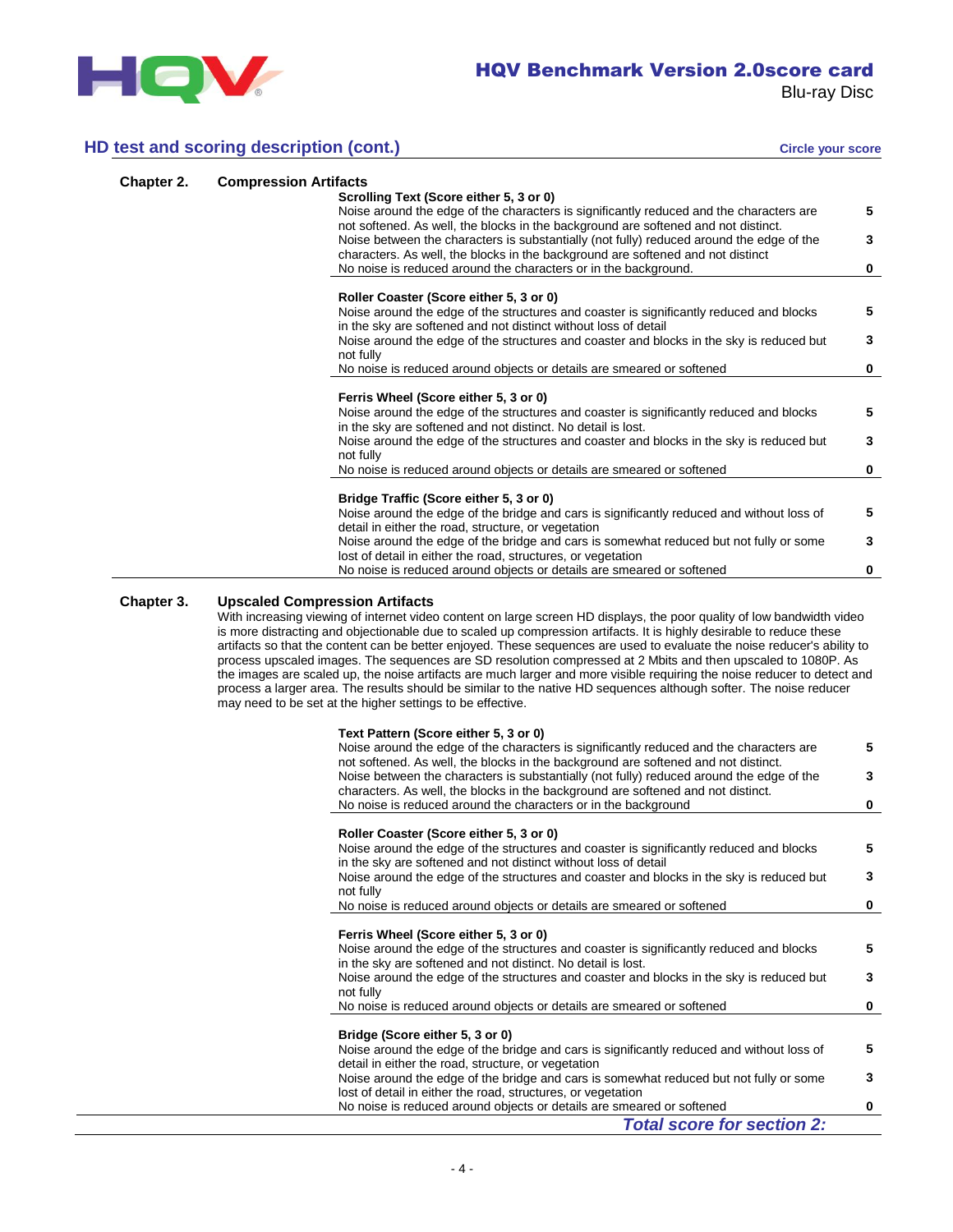

# **HD test and scoring description (cont.) Circle your score** Circle your score

| Chapter 2. | <b>Compression Artifacts</b> |                                                                                                                                                                               |   |
|------------|------------------------------|-------------------------------------------------------------------------------------------------------------------------------------------------------------------------------|---|
|            |                              | Scrolling Text (Score either 5, 3 or 0)                                                                                                                                       |   |
|            |                              | Noise around the edge of the characters is significantly reduced and the characters are<br>not softened. As well, the blocks in the background are softened and not distinct. | 5 |
|            |                              | Noise between the characters is substantially (not fully) reduced around the edge of the<br>characters. As well, the blocks in the background are softened and not distinct   | 3 |
|            |                              | No noise is reduced around the characters or in the background.                                                                                                               | 0 |
|            |                              | Roller Coaster (Score either 5, 3 or 0)                                                                                                                                       |   |
|            |                              | Noise around the edge of the structures and coaster is significantly reduced and blocks<br>in the sky are softened and not distinct without loss of detail                    | 5 |
|            |                              | Noise around the edge of the structures and coaster and blocks in the sky is reduced but<br>not fully                                                                         | 3 |
|            |                              | No noise is reduced around objects or details are smeared or softened                                                                                                         | 0 |
|            |                              |                                                                                                                                                                               |   |
|            |                              | Ferris Wheel (Score either 5, 3 or 0)                                                                                                                                         |   |
|            |                              | Noise around the edge of the structures and coaster is significantly reduced and blocks<br>in the sky are softened and not distinct. No detail is lost.                       | 5 |
|            |                              | Noise around the edge of the structures and coaster and blocks in the sky is reduced but<br>not fully                                                                         | 3 |
|            |                              | No noise is reduced around objects or details are smeared or softened                                                                                                         | 0 |
|            |                              |                                                                                                                                                                               |   |
|            |                              | Bridge Traffic (Score either 5, 3 or 0)                                                                                                                                       |   |
|            |                              | Noise around the edge of the bridge and cars is significantly reduced and without loss of<br>detail in either the road, structure, or vegetation                              | 5 |
|            |                              | Noise around the edge of the bridge and cars is somewhat reduced but not fully or some                                                                                        | 3 |
|            |                              | lost of detail in either the road, structures, or vegetation                                                                                                                  |   |
|            |                              | No noise is reduced around objects or details are smeared or softened                                                                                                         | 0 |

# **Chapter 3. Upscaled Compression Artifacts**

With increasing viewing of internet video content on large screen HD displays, the poor quality of low bandwidth video is more distracting and objectionable due to scaled up compression artifacts. It is highly desirable to reduce these artifacts so that the content can be better enjoyed. These sequences are used to evaluate the noise reducer's ability to process upscaled images. The sequences are SD resolution compressed at 2 Mbits and then upscaled to 1080P. As the images are scaled up, the noise artifacts are much larger and more visible requiring the noise reducer to detect and process a larger area. The results should be similar to the native HD sequences although softer. The noise reducer may need to be set at the higher settings to be effective.

| Text Pattern (Score either 5, 3 or 0)                                                                                                                                         |          |
|-------------------------------------------------------------------------------------------------------------------------------------------------------------------------------|----------|
| Noise around the edge of the characters is significantly reduced and the characters are<br>not softened. As well, the blocks in the background are softened and not distinct. | 5        |
| Noise between the characters is substantially (not fully) reduced around the edge of the<br>characters. As well, the blocks in the background are softened and not distinct.  | 3        |
| No noise is reduced around the characters or in the background                                                                                                                | $\bf{0}$ |
|                                                                                                                                                                               |          |
| Roller Coaster (Score either 5, 3 or 0)                                                                                                                                       |          |
| Noise around the edge of the structures and coaster is significantly reduced and blocks                                                                                       | 5        |
| in the sky are softened and not distinct without loss of detail                                                                                                               |          |
| Noise around the edge of the structures and coaster and blocks in the sky is reduced but                                                                                      | 3        |
| not fully                                                                                                                                                                     |          |
| No noise is reduced around objects or details are smeared or softened                                                                                                         | 0        |
|                                                                                                                                                                               |          |
| Ferris Wheel (Score either 5, 3 or 0)                                                                                                                                         |          |
| Noise around the edge of the structures and coaster is significantly reduced and blocks<br>in the sky are softened and not distinct. No detail is lost.                       | 5        |
| Noise around the edge of the structures and coaster and blocks in the sky is reduced but                                                                                      | 3        |
| not fully                                                                                                                                                                     |          |
| No noise is reduced around objects or details are smeared or softened                                                                                                         | 0        |
|                                                                                                                                                                               |          |
| Bridge (Score either 5, 3 or 0)                                                                                                                                               |          |
| Noise around the edge of the bridge and cars is significantly reduced and without loss of                                                                                     | 5        |
| detail in either the road, structure, or vegetation                                                                                                                           |          |
| Noise around the edge of the bridge and cars is somewhat reduced but not fully or some                                                                                        | 3        |
| lost of detail in either the road, structures, or vegetation                                                                                                                  |          |
| No noise is reduced around objects or details are smeared or softened                                                                                                         | 0        |
| <b>Total score for section 2:</b>                                                                                                                                             |          |
|                                                                                                                                                                               |          |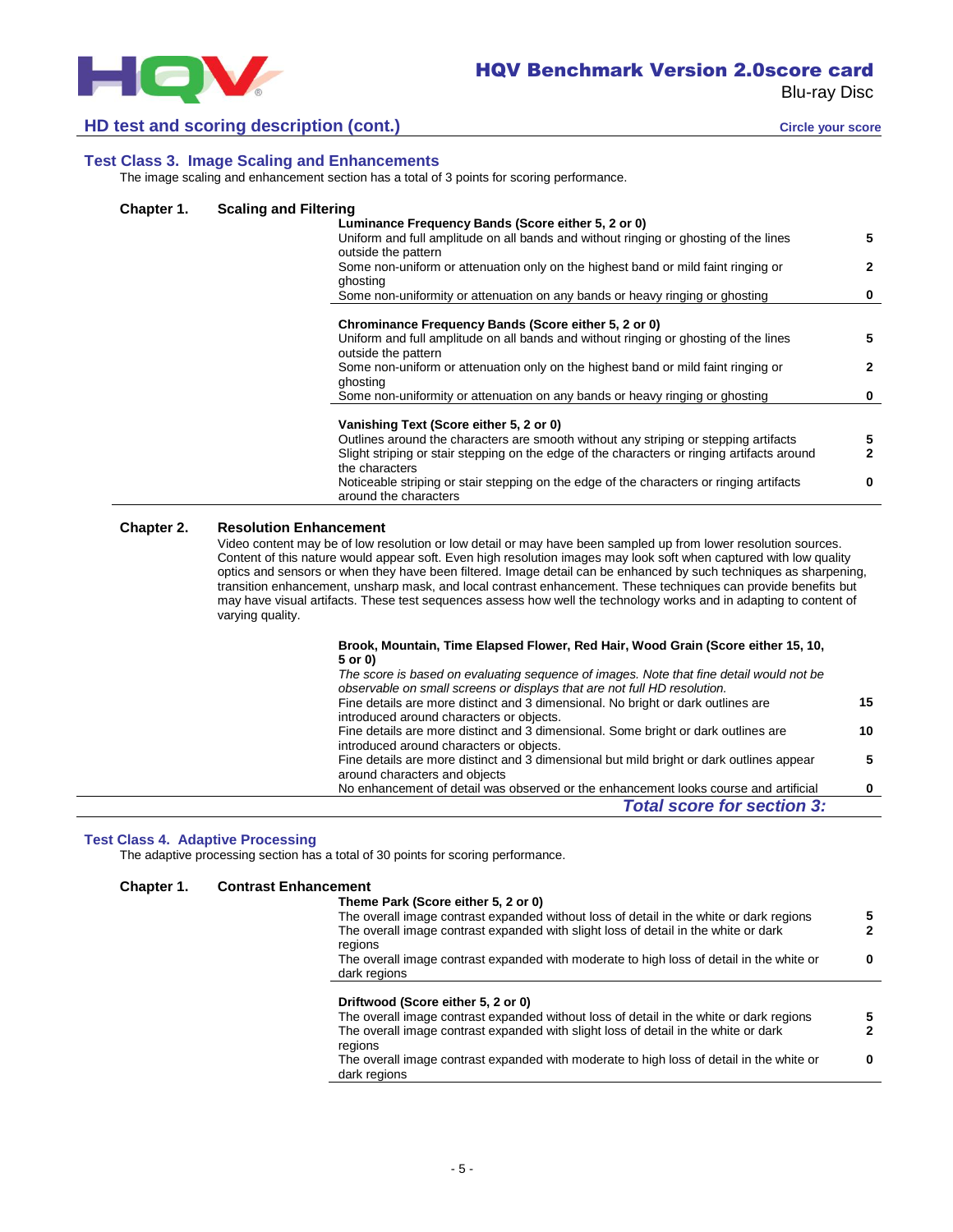

# **HD test and scoring description (cont.) Circle your score** circle your score

**5**

**2**

**5**

**2**

# **Test Class 3. Image Scaling and Enhancements**

The image scaling and enhancement section has a total of 3 points for scoring performance.

ghosting

## **Chapter 1. Scaling and Filtering**

# **Luminance Frequency Bands (Score either 5, 2 or 0)** Uniform and full amplitude on all bands and without ringing or ghosting of the lines outside the pattern Some non-uniform or attenuation only on the highest band or mild faint ringing or ghosting Some non-uniformity or attenuation on any bands or heavy ringing or ghosting **0 Chrominance Frequency Bands (Score either 5, 2 or 0)** Uniform and full amplitude on all bands and without ringing or ghosting of the lines outside the pattern Some non-uniform or attenuation only on the highest band or mild faint ringing or

#### **Vanishing Text (Score either 5, 2 or 0)**

| Outlines around the characters are smooth without any striping or stepping artifacts        | 5 |
|---------------------------------------------------------------------------------------------|---|
| Slight striping or stair stepping on the edge of the characters or ringing artifacts around | 2 |
| the characters                                                                              |   |
| Noticeable striping or stair stepping on the edge of the characters or ringing artifacts    | 0 |
| around the characters                                                                       |   |

Some non-uniformity or attenuation on any bands or heavy ringing or ghosting **0**

#### **Chapter 2. Resolution Enhancement**

Video content may be of low resolution or low detail or may have been sampled up from lower resolution sources. Content of this nature would appear soft. Even high resolution images may look soft when captured with low quality optics and sensors or when they have been filtered. Image detail can be enhanced by such techniques as sharpening, transition enhancement, unsharp mask, and local contrast enhancement. These techniques can provide benefits but may have visual artifacts. These test sequences assess how well the technology works and in adapting to content of varying quality.

#### **Brook, Mountain, Time Elapsed Flower, Red Hair, Wood Grain (Score either 15, 10, 5 or 0)**

| The score is based on evaluating sequence of images. Note that fine detail would not be  |    |
|------------------------------------------------------------------------------------------|----|
| observable on small screens or displays that are not full HD resolution.                 |    |
| Fine details are more distinct and 3 dimensional. No bright or dark outlines are         | 15 |
| introduced around characters or objects.                                                 |    |
| Fine details are more distinct and 3 dimensional. Some bright or dark outlines are       | 10 |
| introduced around characters or objects.                                                 |    |
| Fine details are more distinct and 3 dimensional but mild bright or dark outlines appear | 5  |
| around characters and objects                                                            |    |
| No enhancement of detail was observed or the enhancement looks course and artificial     | 0  |
| <b>Total score for section 3:</b>                                                        |    |
|                                                                                          |    |

## **Test Class 4. Adaptive Processing**

The adaptive processing section has a total of 30 points for scoring performance.

#### **Chapter 1. Contrast Enhancement**

| Theme Park (Score either 5, 2 or 0)                                                                                                                                                       |  |
|-------------------------------------------------------------------------------------------------------------------------------------------------------------------------------------------|--|
| The overall image contrast expanded without loss of detail in the white or dark regions                                                                                                   |  |
| The overall image contrast expanded with slight loss of detail in the white or dark<br>regions                                                                                            |  |
| The overall image contrast expanded with moderate to high loss of detail in the white or<br>dark regions                                                                                  |  |
|                                                                                                                                                                                           |  |
|                                                                                                                                                                                           |  |
| Driftwood (Score either 5, 2 or 0)                                                                                                                                                        |  |
| The overall image contrast expanded without loss of detail in the white or dark regions<br>The overall image contrast expanded with slight loss of detail in the white or dark<br>regions |  |